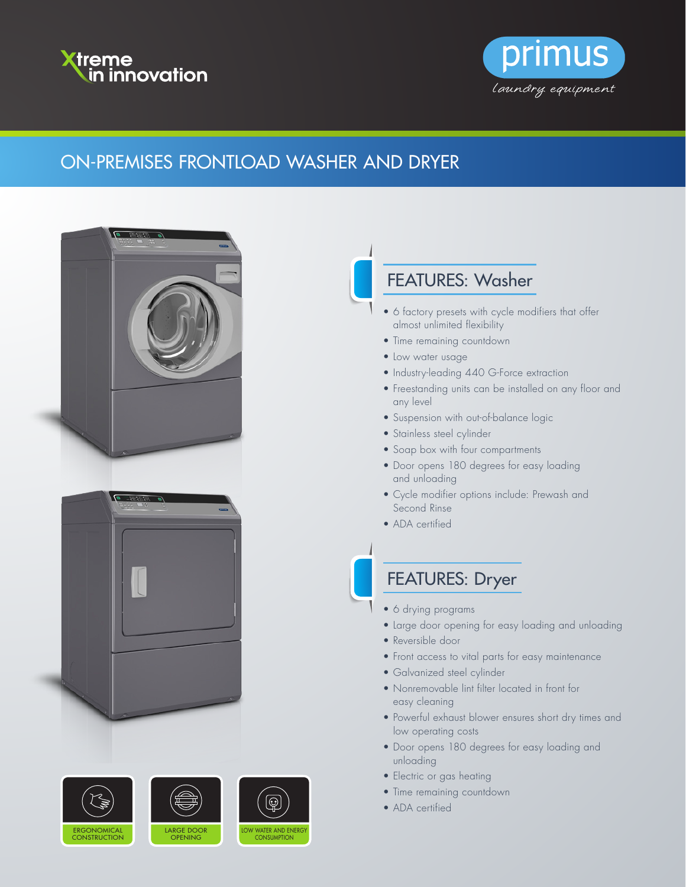



## ON-PREMISES FRONTLOAD WASHER AND DRYER











## FEATURES: Washer

- 6 factory presets with cycle modifiers that offer almost unlimited flexibility
- Time remaining countdown
- Low water usage
- Industry-leading 440 G-Force extraction
- Freestanding units can be installed on any floor and any level
- Suspension with out-of-balance logic
- Stainless steel cylinder
- Soap box with four compartments
- Door opens 180 degrees for easy loading and unloading
- Cycle modifier options include: Prewash and Second Rinse
- ADA certified

## FEATURES: Dryer

- 6 drying programs
- Large door opening for easy loading and unloading
- Reversible door
- Front access to vital parts for easy maintenance
- Galvanized steel cylinder
- Nonremovable lint filter located in front for easy cleaning
- Powerful exhaust blower ensures short dry times and low operating costs
- Door opens 180 degrees for easy loading and unloading
- Electric or gas heating
- Time remaining countdown
- ADA certified